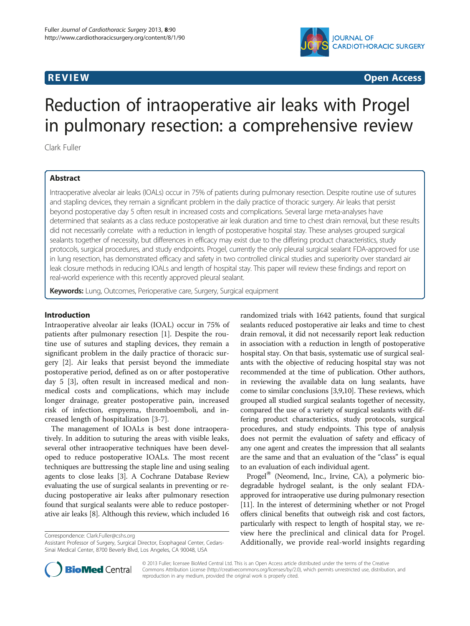

**REVIEW REVIEW CONSTRUCTER ACCESS** 

# Reduction of intraoperative air leaks with Progel in pulmonary resection: a comprehensive review

Clark Fuller

# Abstract

Intraoperative alveolar air leaks (IOALs) occur in 75% of patients during pulmonary resection. Despite routine use of sutures and stapling devices, they remain a significant problem in the daily practice of thoracic surgery. Air leaks that persist beyond postoperative day 5 often result in increased costs and complications. Several large meta-analyses have determined that sealants as a class reduce postoperative air leak duration and time to chest drain removal, but these results did not necessarily correlate with a reduction in length of postoperative hospital stay. These analyses grouped surgical sealants together of necessity, but differences in efficacy may exist due to the differing product characteristics, study protocols, surgical procedures, and study endpoints. Progel, currently the only pleural surgical sealant FDA-approved for use in lung resection, has demonstrated efficacy and safety in two controlled clinical studies and superiority over standard air leak closure methods in reducing IOALs and length of hospital stay. This paper will review these findings and report on real-world experience with this recently approved pleural sealant.

Keywords: Lung, Outcomes, Perioperative care, Surgery, Surgical equipment

### Introduction

Intraoperative alveolar air leaks (IOAL) occur in 75% of patients after pulmonary resection [\[1](#page-6-0)]. Despite the routine use of sutures and stapling devices, they remain a significant problem in the daily practice of thoracic surgery [\[2](#page-6-0)]. Air leaks that persist beyond the immediate postoperative period, defined as on or after postoperative day 5 [[3\]](#page-6-0), often result in increased medical and nonmedical costs and complications, which may include longer drainage, greater postoperative pain, increased risk of infection, empyema, thromboemboli, and increased length of hospitalization [\[3](#page-6-0)-[7\]](#page-6-0).

The management of IOALs is best done intraoperatively. In addition to suturing the areas with visible leaks, several other intraoperative techniques have been developed to reduce postoperative IOALs. The most recent techniques are buttressing the staple line and using sealing agents to close leaks [[3\]](#page-6-0). A Cochrane Database Review evaluating the use of surgical sealants in preventing or reducing postoperative air leaks after pulmonary resection found that surgical sealants were able to reduce postoperative air leaks [\[8](#page-6-0)]. Although this review, which included 16

Correspondence: [Clark.Fuller@cshs.org](mailto:Clark.Fuller@cshs.org)

randomized trials with 1642 patients, found that surgical sealants reduced postoperative air leaks and time to chest drain removal, it did not necessarily report leak reduction in association with a reduction in length of postoperative hospital stay. On that basis, systematic use of surgical sealants with the objective of reducing hospital stay was not recommended at the time of publication. Other authors, in reviewing the available data on lung sealants, have come to similar conclusions [\[3,9,10\]](#page-6-0). These reviews, which grouped all studied surgical sealants together of necessity, compared the use of a variety of surgical sealants with differing product characteristics, study protocols, surgical procedures, and study endpoints. This type of analysis does not permit the evaluation of safety and efficacy of any one agent and creates the impression that all sealants are the same and that an evaluation of the "class" is equal to an evaluation of each individual agent.

Progel $^{\circledR}$  (Neomend, Inc., Irvine, CA), a polymeric biodegradable hydrogel sealant, is the only sealant FDAapproved for intraoperative use during pulmonary resection [[11](#page-6-0)]. In the interest of determining whether or not Progel offers clinical benefits that outweigh risk and cost factors, particularly with respect to length of hospital stay, we review here the preclinical and clinical data for Progel. Additionally, we provide real-world insights regarding



© 2013 Fuller; licensee BioMed Central Ltd. This is an Open Access article distributed under the terms of the Creative Commons Attribution License [\(http://creativecommons.org/licenses/by/2.0\)](http://creativecommons.org/licenses/by/2.0), which permits unrestricted use, distribution, and reproduction in any medium, provided the original work is properly cited.

Assistant Professor of Surgery, Surgical Director, Esophageal Center, Cedars-Sinai Medical Center, 8700 Beverly Blvd, Los Angeles, CA 90048, USA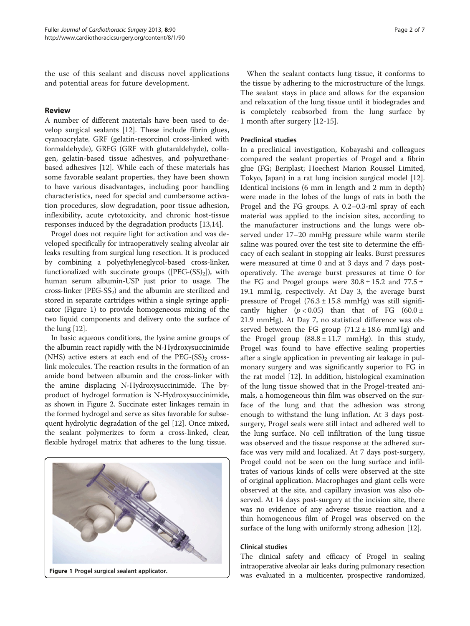the use of this sealant and discuss novel applications and potential areas for future development.

## Review

A number of different materials have been used to develop surgical sealants [\[12](#page-6-0)]. These include fibrin glues, cyanoacrylate, GRF (gelatin-resorcinol cross-linked with formaldehyde), GRFG (GRF with glutaraldehyde), collagen, gelatin-based tissue adhesives, and polyurethanebased adhesives [\[12\]](#page-6-0). While each of these materials has some favorable sealant properties, they have been shown to have various disadvantages, including poor handling characteristics, need for special and cumbersome activation procedures, slow degradation, poor tissue adhesion, inflexibility, acute cytotoxicity, and chronic host-tissue responses induced by the degradation products [\[13,14](#page-6-0)].

Progel does not require light for activation and was developed specifically for intraoperatively sealing alveolar air leaks resulting from surgical lung resection. It is produced by combining a polyethyleneglycol-based cross-linker, functionalized with succinate groups ( $[PEG-(SS)_2]$ ), with human serum albumin-USP just prior to usage. The cross-linker ( $PEG-SS_2$ ) and the albumin are sterilized and stored in separate cartridges within a single syringe applicator (Figure 1) to provide homogeneous mixing of the two liquid components and delivery onto the surface of the lung [\[12\]](#page-6-0).

In basic aqueous conditions, the lysine amine groups of the albumin react rapidly with the N-Hydroxysuccinimide (NHS) active esters at each end of the  $PEG-(SS)_2$  crosslink molecules. The reaction results in the formation of an amide bond between albumin and the cross-linker with the amine displacing N-Hydroxysuccinimide. The byproduct of hydrogel formation is N-Hydroxysuccinimide, as shown in Figure [2](#page-2-0). Succinate ester linkages remain in the formed hydrogel and serve as sites favorable for subsequent hydrolytic degradation of the gel [\[12\]](#page-6-0). Once mixed, the sealant polymerizes to form a cross-linked, clear, flexible hydrogel matrix that adheres to the lung tissue.



When the sealant contacts lung tissue, it conforms to the tissue by adhering to the microstructure of the lungs. The sealant stays in place and allows for the expansion and relaxation of the lung tissue until it biodegrades and is completely reabsorbed from the lung surface by 1 month after surgery [\[12](#page-6-0)-[15](#page-6-0)].

#### Preclinical studies

In a preclinical investigation, Kobayashi and colleagues compared the sealant properties of Progel and a fibrin glue (FG; Beriplast; Hoechest Marion Roussel Limited, Tokyo, Japan) in a rat lung incision surgical model [\[12](#page-6-0)]. Identical incisions (6 mm in length and 2 mm in depth) were made in the lobes of the lungs of rats in both the Progel and the FG groups. A 0.2–0.3-ml spray of each material was applied to the incision sites, according to the manufacturer instructions and the lungs were observed under 17–20 mmHg pressure while warm sterile saline was poured over the test site to determine the efficacy of each sealant in stopping air leaks. Burst pressures were measured at time 0 and at 3 days and 7 days postoperatively. The average burst pressures at time 0 for the FG and Progel groups were  $30.8 \pm 15.2$  and  $77.5 \pm 10^{-10}$ 19.1 mmHg, respectively. At Day 3, the average burst pressure of Progel  $(76.3 \pm 15.8 \text{ mmHg})$  was still significantly higher  $(p < 0.05)$  than that of FG  $(60.0 \pm$ 21.9 mmHg). At Day 7, no statistical difference was observed between the FG group  $(71.2 \pm 18.6 \text{ mmHg})$  and the Progel group  $(88.8 \pm 11.7 \text{ mmHg})$ . In this study, Progel was found to have effective sealing properties after a single application in preventing air leakage in pulmonary surgery and was significantly superior to FG in the rat model [\[12\]](#page-6-0). In addition, histological examination of the lung tissue showed that in the Progel-treated animals, a homogeneous thin film was observed on the surface of the lung and that the adhesion was strong enough to withstand the lung inflation. At 3 days postsurgery, Progel seals were still intact and adhered well to the lung surface. No cell infiltration of the lung tissue was observed and the tissue response at the adhered surface was very mild and localized. At 7 days post-surgery, Progel could not be seen on the lung surface and infiltrates of various kinds of cells were observed at the site of original application. Macrophages and giant cells were observed at the site, and capillary invasion was also observed. At 14 days post-surgery at the incision site, there was no evidence of any adverse tissue reaction and a thin homogeneous film of Progel was observed on the surface of the lung with uniformly strong adhesion [\[12](#page-6-0)].

#### Clinical studies

The clinical safety and efficacy of Progel in sealing intraoperative alveolar air leaks during pulmonary resection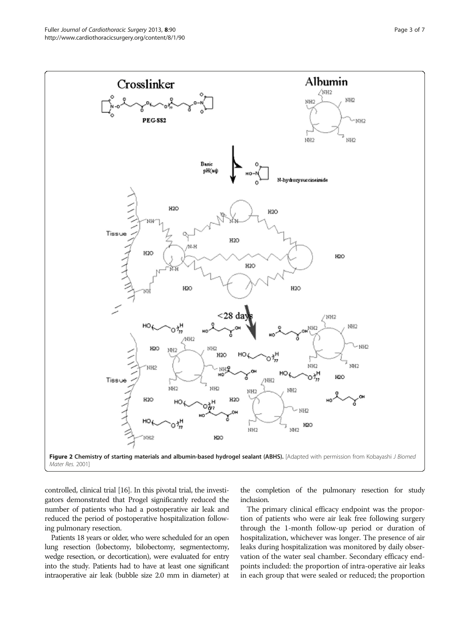<span id="page-2-0"></span>

controlled, clinical trial [[16](#page-6-0)]. In this pivotal trial, the investigators demonstrated that Progel significantly reduced the number of patients who had a postoperative air leak and reduced the period of postoperative hospitalization following pulmonary resection.

Patients 18 years or older, who were scheduled for an open lung resection (lobectomy, bilobectomy, segmentectomy, wedge resection, or decortication), were evaluated for entry into the study. Patients had to have at least one significant intraoperative air leak (bubble size 2.0 mm in diameter) at

the completion of the pulmonary resection for study inclusion.

The primary clinical efficacy endpoint was the proportion of patients who were air leak free following surgery through the 1-month follow-up period or duration of hospitalization, whichever was longer. The presence of air leaks during hospitalization was monitored by daily observation of the water seal chamber. Secondary efficacy endpoints included: the proportion of intra-operative air leaks in each group that were sealed or reduced; the proportion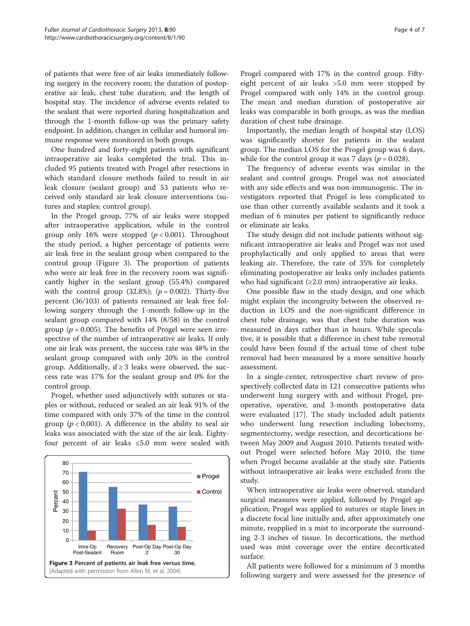of patients that were free of air leaks immediately following surgery in the recovery room; the duration of postoperative air leak; chest tube duration; and the length of hospital stay. The incidence of adverse events related to the sealant that were reported during hospitalization and through the 1-month follow-up was the primary safety endpoint. In addition, changes in cellular and humoral immune response were monitored in both groups.

One hundred and forty-eight patients with significant intraoperative air leaks completed the trial. This included 95 patients treated with Progel after resections in which standard closure methods failed to result in air leak closure (sealant group) and 53 patients who received only standard air leak closure interventions (sutures and staples; control group).

In the Progel group, 77% of air leaks were stopped after intraoperative application, while in the control group only 16% were stopped  $(p < 0.001)$ . Throughout the study period, a higher percentage of patients were air leak free in the sealant group when compared to the control group (Figure 3). The proportion of patients who were air leak free in the recovery room was significantly higher in the sealant group (55.4%) compared with the control group (32.8%); ( $p = 0.002$ ). Thirty-five percent (36/103) of patients remained air leak free following surgery through the 1-month follow-up in the sealant group compared with 14% (8/58) in the control group ( $p = 0.005$ ). The benefits of Progel were seen irrespective of the number of intraoperative air leaks. If only one air leak was present, the success rate was 48% in the sealant group compared with only 20% in the control group. Additionally, if  $\geq$  3 leaks were observed, the success rate was 17% for the sealant group and 0% for the control group.

Progel, whether used adjunctively with sutures or staples or without, reduced or sealed an air leak 91% of the time compared with only 37% of the time in the control group ( $p < 0.001$ ). A difference in the ability to seal air leaks was associated with the size of the air leak. Eightyfour percent of air leaks ≤5.0 mm were sealed with



Progel compared with 17% in the control group. Fiftyeight percent of air leaks >5.0 mm were stopped by Progel compared with only 14% in the control group. The mean and median duration of postoperative air leaks was comparable in both groups, as was the median duration of chest tube drainage.

Importantly, the median length of hospital stay (LOS) was significantly shorter for patients in the sealant group. The median LOS for the Progel group was 6 days, while for the control group it was 7 days ( $p = 0.028$ ).

The frequency of adverse events was similar in the sealant and control groups. Progel was not associated with any side effects and was non-immunogenic. The investigators reported that Progel is less complicated to use than other currently available sealants and it took a median of 6 minutes per patient to significantly reduce or eliminate air leaks.

The study design did not include patients without significant intraoperative air leaks and Progel was not used prophylactically and only applied to areas that were leaking air. Therefore, the rate of 35% for completely eliminating postoperative air leaks only includes patients who had significant  $(\geq 2.0 \text{ mm})$  intraoperative air leaks.

One possible flaw in the study design, and one which might explain the incongruity between the observed reduction in LOS and the non-significant difference in chest tube drainage, was that chest tube duration was measured in days rather than in hours. While speculative, it is possible that a difference in chest tube removal could have been found if the actual time of chest tube removal had been measured by a more sensitive hourly assessment.

In a single-center, retrospective chart review of prospectively collected data in 121 consecutive patients who underwent lung surgery with and without Progel, preoperative, operative, and 3-month postoperative data were evaluated [[17\]](#page-6-0). The study included adult patients who underwent lung resection including lobectomy, segmentectomy, wedge resection, and decortications between May 2009 and August 2010. Patients treated without Progel were selected before May 2010, the time when Progel became available at the study site. Patients without intraoperative air leaks were excluded from the study.

When intraoperative air leaks were observed, standard surgical measures were applied, followed by Progel application. Progel was applied to sutures or staple lines in a discrete focal line initially and, after approximately one minute, reapplied in a mist to incorporate the surrounding 2-3 inches of tissue. In decortications, the method used was mist coverage over the entire decorticated surface.

All patients were followed for a minimum of 3 months following surgery and were assessed for the presence of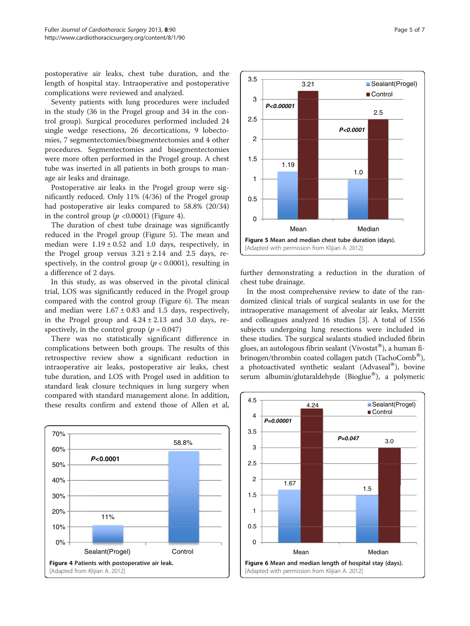postoperative air leaks, chest tube duration, and the length of hospital stay. Intraoperative and postoperative complications were reviewed and analyzed.

Seventy patients with lung procedures were included in the study (36 in the Progel group and 34 in the control group). Surgical procedures performed included 24 single wedge resections, 26 decortications, 9 lobectomies, 7 segmentectomies/bisegmentectomies and 4 other procedures. Segmentectomies and bisegmentectomies were more often performed in the Progel group. A chest tube was inserted in all patients in both groups to manage air leaks and drainage.

Postoperative air leaks in the Progel group were significantly reduced. Only 11% (4/36) of the Progel group had postoperative air leaks compared to 58.8% (20/34) in the control group  $(p \le 0.0001)$  (Figure 4).

The duration of chest tube drainage was significantly reduced in the Progel group (Figure 5). The mean and median were  $1.19 \pm 0.52$  and 1.0 days, respectively, in the Progel group versus  $3.21 \pm 2.14$  and  $2.5$  days, respectively, in the control group ( $p < 0.0001$ ), resulting in a difference of 2 days.

In this study, as was observed in the pivotal clinical trial, LOS was significantly reduced in the Progel group compared with the control group (Figure 6). The mean and median were  $1.67 \pm 0.83$  and 1.5 days, respectively, in the Progel group and  $4.24 \pm 2.13$  and 3.0 days, respectively, in the control group ( $p = 0.047$ )

There was no statistically significant difference in complications between both groups. The results of this retrospective review show a significant reduction in intraoperative air leaks, postoperative air leaks, chest tube duration, and LOS with Progel used in addition to standard leak closure techniques in lung surgery when compared with standard management alone. In addition, these results confirm and extend those of Allen et al,





further demonstrating a reduction in the duration of chest tube drainage.

In the most comprehensive review to date of the randomized clinical trials of surgical sealants in use for the intraoperative management of alveolar air leaks, Merritt and colleagues analyzed 16 studies [\[3\]](#page-6-0). A total of 1556 subjects undergoing lung resections were included in these studies. The surgical sealants studied included fibrin glues, an autologous fibrin sealant (Vivostat<sup>®</sup>), a human fibrinogen/thrombin coated collagen patch (TachoComb®), a photoactivated synthetic sealant (Advaseal®), bovine serum albumin/glutaraldehyde (Bioglue®), a polymeric

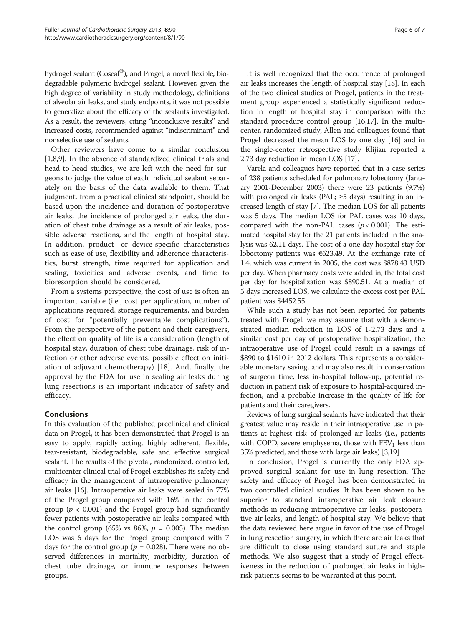hydrogel sealant ( $\text{Coseal}^{\circledR}$ ), and Progel, a novel flexible, biodegradable polymeric hydrogel sealant. However, given the high degree of variability in study methodology, definitions of alveolar air leaks, and study endpoints, it was not possible to generalize about the efficacy of the sealants investigated. As a result, the reviewers, citing "inconclusive results" and increased costs, recommended against "indiscriminant" and nonselective use of sealants.

Other reviewers have come to a similar conclusion [[1,8,9\]](#page-6-0). In the absence of standardized clinical trials and head-to-head studies, we are left with the need for surgeons to judge the value of each individual sealant separately on the basis of the data available to them. That judgment, from a practical clinical standpoint, should be based upon the incidence and duration of postoperative air leaks, the incidence of prolonged air leaks, the duration of chest tube drainage as a result of air leaks, possible adverse reactions, and the length of hospital stay. In addition, product- or device-specific characteristics such as ease of use, flexibility and adherence characteristics, burst strength, time required for application and sealing, toxicities and adverse events, and time to bioresorption should be considered.

From a systems perspective, the cost of use is often an important variable (i.e., cost per application, number of applications required, storage requirements, and burden of cost for "potentially preventable complications"). From the perspective of the patient and their caregivers, the effect on quality of life is a consideration (length of hospital stay, duration of chest tube drainage, risk of infection or other adverse events, possible effect on initiation of adjuvant chemotherapy) [[18\]](#page-6-0). And, finally, the approval by the FDA for use in sealing air leaks during lung resections is an important indicator of safety and efficacy.

# Conclusions

In this evaluation of the published preclinical and clinical data on Progel, it has been demonstrated that Progel is an easy to apply, rapidly acting, highly adherent, flexible, tear-resistant, biodegradable, safe and effective surgical sealant. The results of the pivotal, randomized, controlled, multicenter clinical trial of Progel establishes its safety and efficacy in the management of intraoperative pulmonary air leaks [\[16\]](#page-6-0). Intraoperative air leaks were sealed in 77% of the Progel group compared with 16% in the control group ( $p < 0.001$ ) and the Progel group had significantly fewer patients with postoperative air leaks compared with the control group (65% vs 86%,  $p = 0.005$ ). The median LOS was 6 days for the Progel group compared with 7 days for the control group ( $p = 0.028$ ). There were no observed differences in mortality, morbidity, duration of chest tube drainage, or immune responses between groups.

It is well recognized that the occurrence of prolonged air leaks increases the length of hospital stay [[18\]](#page-6-0). In each of the two clinical studies of Progel, patients in the treatment group experienced a statistically significant reduction in length of hospital stay in comparison with the standard procedure control group [\[16,17](#page-6-0)]. In the multicenter, randomized study, Allen and colleagues found that Progel decreased the mean LOS by one day [\[16\]](#page-6-0) and in the single-center retrospective study Klijian reported a 2.73 day reduction in mean LOS [\[17\]](#page-6-0).

Varela and colleagues have reported that in a case series of 238 patients scheduled for pulmonary lobectomy (January 2001-December 2003) there were 23 patients (9.7%) with prolonged air leaks (PAL;  $\geq$ 5 days) resulting in an increased length of stay [[7](#page-6-0)]. The median LOS for all patients was 5 days. The median LOS for PAL cases was 10 days, compared with the non-PAL cases  $(p < 0.001)$ . The estimated hospital stay for the 21 patients included in the analysis was 62.11 days. The cost of a one day hospital stay for lobectomy patients was €623.49. At the exchange rate of 1.4, which was current in 2005, the cost was \$878.43 USD per day. When pharmacy costs were added in, the total cost per day for hospitalization was \$890.51. At a median of 5 days increased LOS, we calculate the excess cost per PAL patient was \$4452.55.

While such a study has not been reported for patients treated with Progel, we may assume that with a demonstrated median reduction in LOS of 1-2.73 days and a similar cost per day of postoperative hospitalization, the intraoperative use of Progel could result in a savings of \$890 to \$1610 in 2012 dollars. This represents a considerable monetary saving, and may also result in conservation of surgeon time, less in-hospital follow-up, potential reduction in patient risk of exposure to hospital-acquired infection, and a probable increase in the quality of life for patients and their caregivers.

Reviews of lung surgical sealants have indicated that their greatest value may reside in their intraoperative use in patients at highest risk of prolonged air leaks (i.e., patients with COPD, severe emphysema, those with  $FEV<sub>1</sub>$  less than 35% predicted, and those with large air leaks) [\[3,19](#page-6-0)].

In conclusion, Progel is currently the only FDA approved surgical sealant for use in lung resection. The safety and efficacy of Progel has been demonstrated in two controlled clinical studies. It has been shown to be superior to standard intaroperative air leak closure methods in reducing intraoperative air leaks, postoperative air leaks, and length of hospital stay. We believe that the data reviewed here argue in favor of the use of Progel in lung resection surgery, in which there are air leaks that are difficult to close using standard suture and staple methods. We also suggest that a study of Progel effectiveness in the reduction of prolonged air leaks in highrisk patients seems to be warranted at this point.